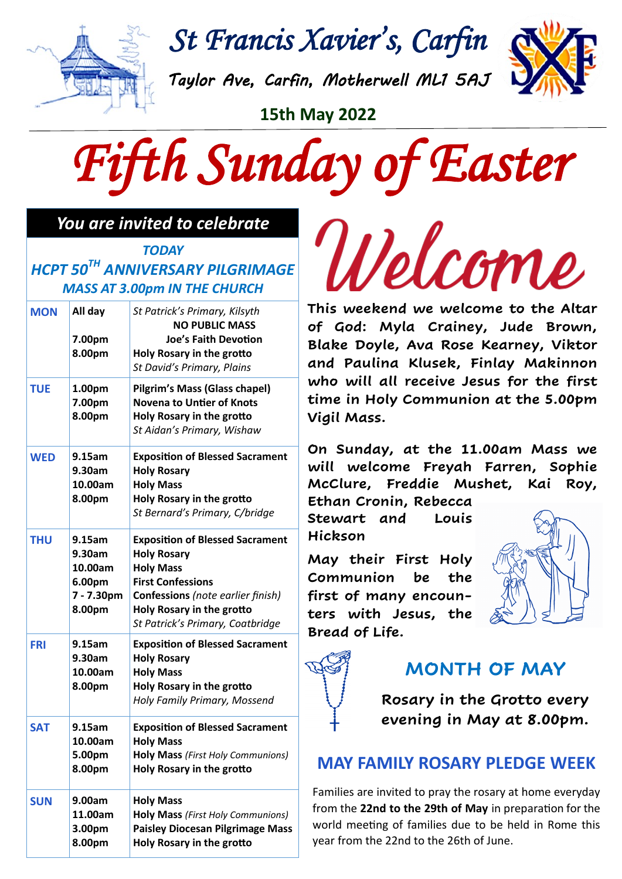

*St Francis Xavier's, Carfin* 

*Taylor Ave, Carfin, Motherwell ML1 5AJ* 

**15th May 2022**



#### *You are invited to celebrate*

*TODAY HCPT 50TH ANNIVERSARY PILGRIMAGE MASS AT 3.00pm IN THE CHURCH*

| <b>MON</b> | All day<br>7.00pm<br>8.00pm                                   | St Patrick's Primary, Kilsyth<br><b>NO PUBLIC MASS</b><br><b>Joe's Faith Devotion</b><br>Holy Rosary in the grotto<br>St David's Primary, Plains                                                                   |
|------------|---------------------------------------------------------------|--------------------------------------------------------------------------------------------------------------------------------------------------------------------------------------------------------------------|
| <b>TUE</b> | 1.00pm<br>7.00pm<br>8.00pm                                    | Pilgrim's Mass (Glass chapel)<br><b>Novena to Untier of Knots</b><br>Holy Rosary in the grotto<br>St Aidan's Primary, Wishaw                                                                                       |
| <b>WED</b> | 9.15am<br>9.30am<br>10.00am<br>8.00pm                         | <b>Exposition of Blessed Sacrament</b><br><b>Holy Rosary</b><br><b>Holy Mass</b><br>Holy Rosary in the grotto<br>St Bernard's Primary, C/bridge                                                                    |
| <b>THU</b> | 9.15am<br>9.30am<br>10.00am<br>6.00pm<br>7 - 7.30pm<br>8.00pm | <b>Exposition of Blessed Sacrament</b><br><b>Holy Rosary</b><br><b>Holy Mass</b><br><b>First Confessions</b><br>Confessions (note earlier finish)<br>Holy Rosary in the grotto<br>St Patrick's Primary, Coatbridge |
| <b>FRI</b> | 9.15am<br>9.30am<br>10.00am<br>8.00pm                         | <b>Exposition of Blessed Sacrament</b><br><b>Holy Rosary</b><br><b>Holy Mass</b><br>Holy Rosary in the grotto<br>Holy Family Primary, Mossend                                                                      |
| <b>SAT</b> | 9.15am<br>10.00am<br>5.00pm<br>8.00pm                         | <b>Exposition of Blessed Sacrament</b><br><b>Holy Mass</b><br>Holy Mass (First Holy Communions)<br>Holy Rosary in the grotto                                                                                       |
| <b>SUN</b> | 9.00am<br>11.00am<br>3.00pm<br>8.00pm                         | <b>Holy Mass</b><br>Holy Mass (First Holy Communions)<br><b>Paisley Diocesan Pilgrimage Mass</b><br>Holy Rosary in the grotto                                                                                      |

Velcome **This weekend we welcome to the Altar of God: Myla Crainey, Jude Brown, Blake Doyle, Ava Rose Kearney, Viktor and Paulina Klusek, Finlay Makinnon** 

**who will all receive Jesus for the first time in Holy Communion at the 5.00pm Vigil Mass.** 

**On Sunday, at the 11.00am Mass we will welcome Freyah Farren, Sophie McClure, Freddie Mushet, Kai Roy,** 

**Ethan Cronin, Rebecca Stewart and Louis Hickson**

**May their First Holy Communion be the first of many encounters with Jesus, the Bread of Life.**





# **MONTH OF MAY**

**Rosary in the Grotto every evening in May at 8.00pm.** 

# **MAY FAMILY ROSARY PLEDGE WEEK**

Families are invited to pray the rosary at home everyday from the **22nd to the 29th of May** in preparation for the world meeting of families due to be held in Rome this year from the 22nd to the 26th of June.